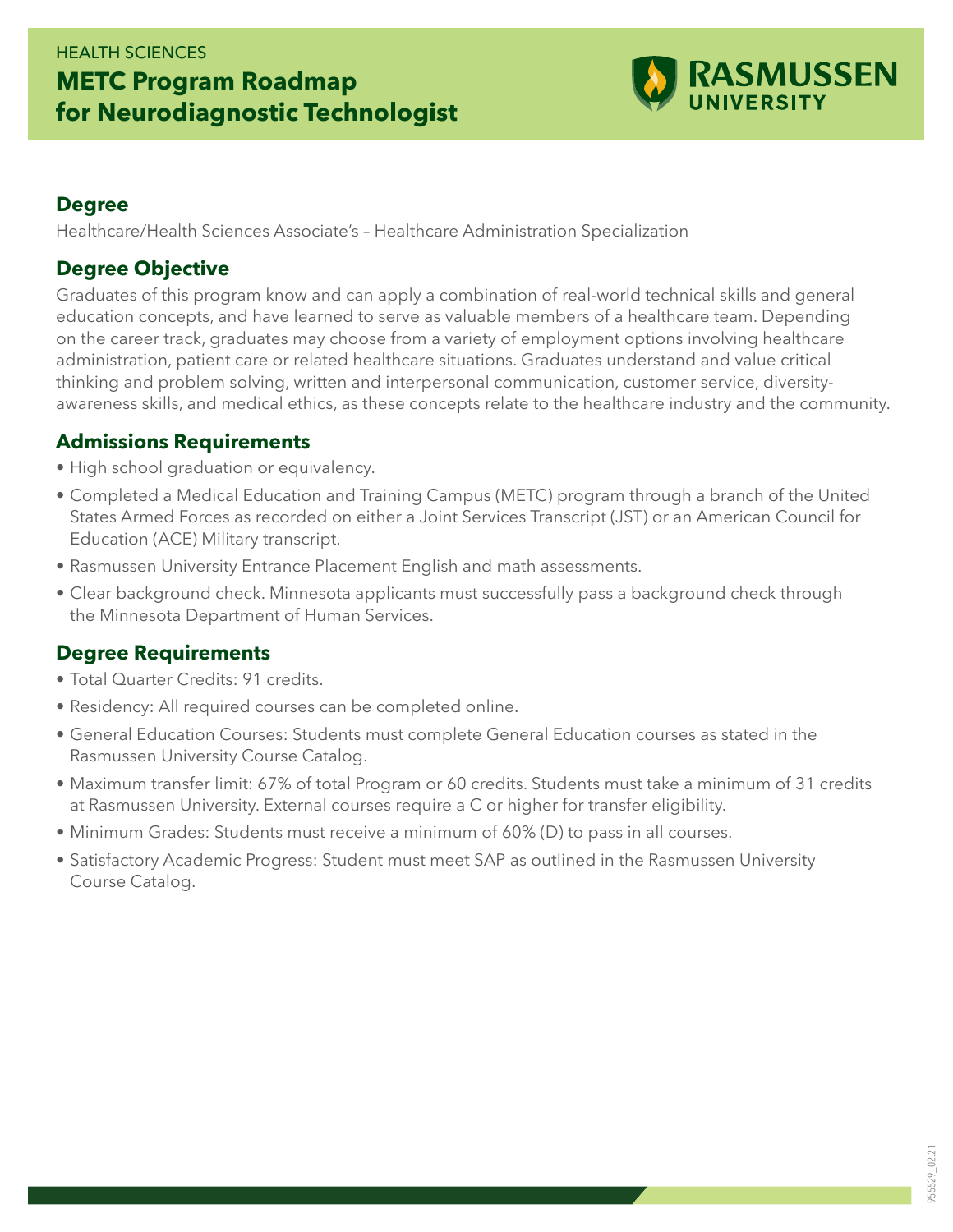## HEALTH SCIENCES **METC Program Roadmap for Neurodiagnostic Technologist**



#### **Degree**

Healthcare/Health Sciences Associate's – Healthcare Administration Specialization

#### **Degree Objective**

Graduates of this program know and can apply a combination of real-world technical skills and general education concepts, and have learned to serve as valuable members of a healthcare team. Depending on the career track, graduates may choose from a variety of employment options involving healthcare administration, patient care or related healthcare situations. Graduates understand and value critical thinking and problem solving, written and interpersonal communication, customer service, diversityawareness skills, and medical ethics, as these concepts relate to the healthcare industry and the community.

#### **Admissions Requirements**

- High school graduation or equivalency.
- Completed a Medical Education and Training Campus (METC) program through a branch of the United States Armed Forces as recorded on either a Joint Services Transcript (JST) or an American Council for Education (ACE) Military transcript.
- Rasmussen University Entrance Placement English and math assessments.
- Clear background check. Minnesota applicants must successfully pass a background check through the Minnesota Department of Human Services.

### **Degree Requirements**

- Total Quarter Credits: 91 credits.
- Residency: All required courses can be completed online.
- General Education Courses: Students must complete General Education courses as stated in the Rasmussen University Course Catalog.
- Maximum transfer limit: 67% of total Program or 60 credits. Students must take a minimum of 31 credits at Rasmussen University. External courses require a C or higher for transfer eligibility.
- Minimum Grades: Students must receive a minimum of 60% (D) to pass in all courses.
- Satisfactory Academic Progress: Student must meet SAP as outlined in the Rasmussen University Course Catalog.